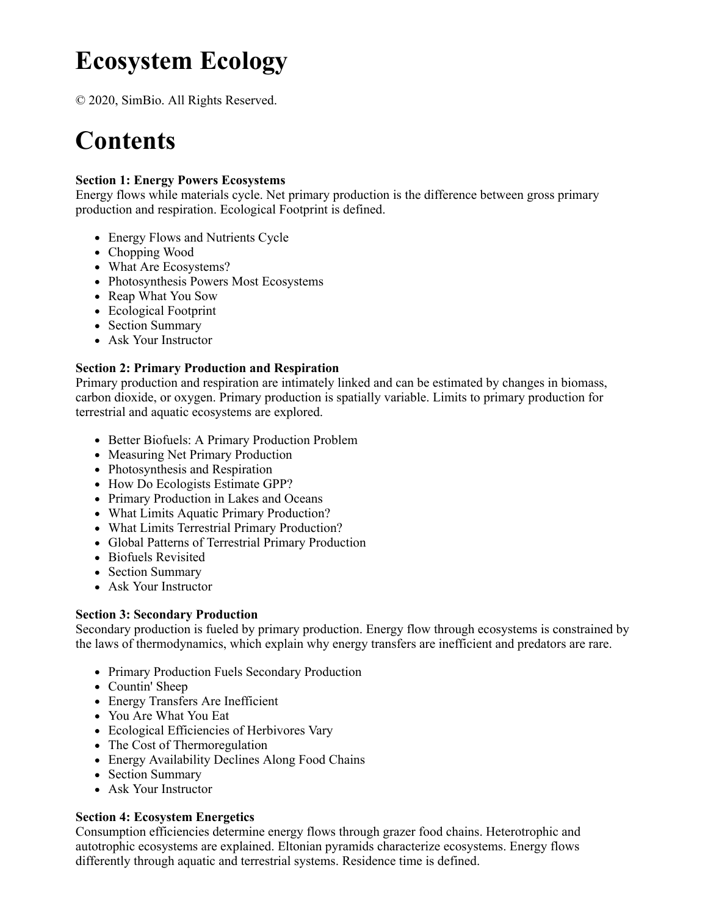# **Ecosystem Ecology**

© 2020, SimBio. All Rights Reserved.

## **Contents**

#### **Section 1: Energy Powers Ecosystems**

Energy flows while materials cycle. Net primary production is the difference between gross primary production and respiration. Ecological Footprint is defined.

- Energy Flows and Nutrients Cycle
- Chopping Wood
- What Are Ecosystems?
- Photosynthesis Powers Most Ecosystems
- Reap What You Sow
- Ecological Footprint
- Section Summary
- Ask Your Instructor

#### **Section 2: Primary Production and Respiration**

Primary production and respiration are intimately linked and can be estimated by changes in biomass, carbon dioxide, or oxygen. Primary production is spatially variable. Limits to primary production for terrestrial and aquatic ecosystems are explored.

- Better Biofuels: A Primary Production Problem
- Measuring Net Primary Production
- Photosynthesis and Respiration
- How Do Ecologists Estimate GPP?
- Primary Production in Lakes and Oceans
- What Limits Aquatic Primary Production?
- What Limits Terrestrial Primary Production?
- Global Patterns of Terrestrial Primary Production
- Biofuels Revisited
- Section Summary
- Ask Your Instructor

#### **Section 3: Secondary Production**

Secondary production is fueled by primary production. Energy flow through ecosystems is constrained by the laws of thermodynamics, which explain why energy transfers are inefficient and predators are rare.

- Primary Production Fuels Secondary Production
- Countin' Sheep
- Energy Transfers Are Inefficient
- You Are What You Eat
- Ecological Efficiencies of Herbivores Vary
- The Cost of Thermoregulation
- Energy Availability Declines Along Food Chains
- Section Summary
- Ask Your Instructor

#### **Section 4: Ecosystem Energetics**

Consumption efficiencies determine energy flows through grazer food chains. Heterotrophic and autotrophic ecosystems are explained. Eltonian pyramids characterize ecosystems. Energy flows differently through aquatic and terrestrial systems. Residence time is defined.